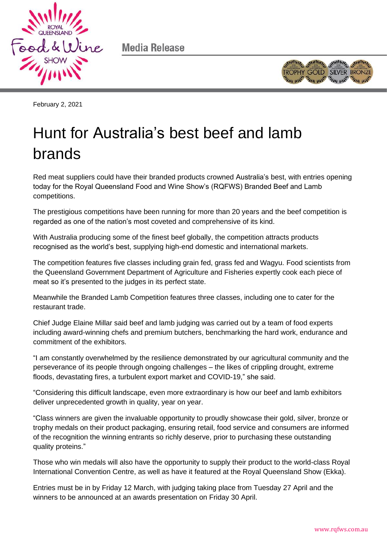

Media Release



February 2, 2021

## Hunt for Australia's best beef and lamb brands

Red meat suppliers could have their branded products crowned Australia's best, with entries opening today for the Royal Queensland Food and Wine Show's (RQFWS) Branded Beef and Lamb competitions.

The prestigious competitions have been running for more than 20 years and the beef competition is regarded as one of the nation's most coveted and comprehensive of its kind.

With Australia producing some of the finest beef globally, the competition attracts products recognised as the world's best, supplying high-end domestic and international markets.

The competition features five classes including grain fed, grass fed and Wagyu. Food scientists from the Queensland Government Department of Agriculture and Fisheries expertly cook each piece of meat so it's presented to the judges in its perfect state.

Meanwhile the Branded Lamb Competition features three classes, including one to cater for the restaurant trade.

Chief Judge Elaine Millar said beef and lamb judging was carried out by a team of food experts including award-winning chefs and premium butchers, benchmarking the hard work, endurance and commitment of the exhibitors.

"I am constantly overwhelmed by the resilience demonstrated by our agricultural community and the perseverance of its people through ongoing challenges – the likes of crippling drought, extreme floods, devastating fires, a turbulent export market and COVID-19," she said.

"Considering this difficult landscape, even more extraordinary is how our beef and lamb exhibitors deliver unprecedented growth in quality, year on year.

"Class winners are given the invaluable opportunity to proudly showcase their gold, silver, bronze or trophy medals on their product packaging, ensuring retail, food service and consumers are informed of the recognition the winning entrants so richly deserve, prior to purchasing these outstanding quality proteins."

Those who win medals will also have the opportunity to supply their product to the world-class Royal International Convention Centre, as well as have it featured at the Royal Queensland Show (Ekka).

Entries must be in by Friday 12 March, with judging taking place from Tuesday 27 April and the winners to be announced at an awards presentation on Friday 30 April.